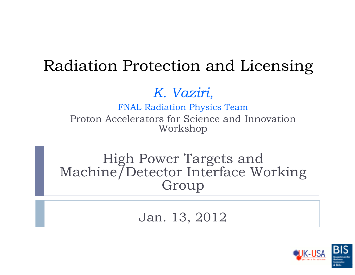# Radiation Protection and Licensing

## *K. Vaziri,*

FNAL Radiation Physics Team Proton Accelerators for Science and Innovation Workshop

High Power Targets and Machine/Detector Interface Working Group

Jan. 13, 2012

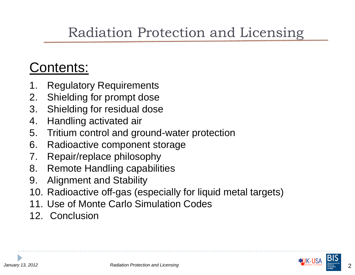# Radiation Protection and Licensing

# Contents:

- **Regulatory Requirements**
- 2. Shielding for prompt dose
- 3. Shielding for residual dose
- 4. Handling activated air
- 5. Tritium control and ground-water protection
- 6. Radioactive component storage
- 7. Repair/replace philosophy
- 8. Remote Handling capabilities
- 9. Alignment and Stability
- 10. Radioactive off-gas (especially for liquid metal targets)
- 11. Use of Monte Carlo Simulation Codes
- 12. Conclusion



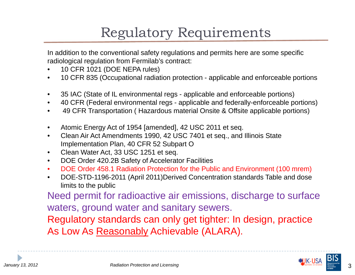# Regulatory Requirements

In addition to the conventional safety regulations and permits here are some specific radiological regulation from Fermilab's contract:

- •10 CFR 1021 (DOE NEPA rules)
- $\bullet$ 10 CFR 835 (Occupational radiation protection - applicable and enforceable portions
- $\bullet$ 35 IAC (State of IL environmental regs - applicable and enforceable portions)
- $\bullet$ 40 CFR (Federal environmental regs - applicable and federally-enforceable portions)
- $\bullet$ 49 CFR Transportation ( Hazardous material Onsite & Offsite applicable portions)
- $\bullet$ Atomic Energy Act of 1954 [amended], 42 USC 2011 et seq.
- $\bullet$  Clean Air Act Amendments 1990, 42 USC 7401 et seq., and Illinois State Implementation Plan, 40 CFR 52 Subpart O
- $\bullet$ Clean Water Act, 33 USC 1251 et seq.
- $\bullet$ DOE Order 420.2B Safety of Accelerator Facilities
- •DOE Order 458.1 Radiation Protection for the Public and Environment (100 mrem)
- $\bullet$  DOE-STD-1196-2011 (April 2011)Derived Concentration standards Table and dose limits to the public

Need permit for radioactive air emissions, discharge to surface waters, ground water and sanitary sewers.

Regulatory standards can only get tighter: In design, practice As Low As Reasonably Achievable (ALARA).



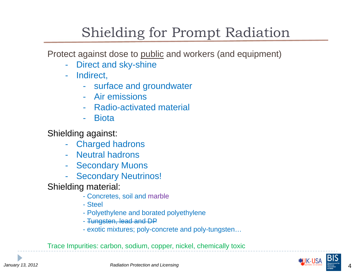# Shielding for Prompt Radiation

Protect against dose to public and workers (and equipment)

- -Direct and sky-shine
- - Indirect,
	- surface and groundwater
	- Air emissions
	- Radio-activated material
	- -**Biota**

Shielding against:

- $\mathcal{L}_{\mathcal{A}}$ Charged hadrons
- Neutral hadrons
- -Secondary Muons
- $\mathcal{L}_{\mathcal{A}}$ Secondary Neutrinos!

Shielding material:

- Concretes, soil and marble
- Steel
- Polyethylene and borated polyethylene
- Tungsten, lead and DP
- exotic mixtures; poly-concrete and poly-tungsten…

Trace Impurities: carbon, sodium, copper, nickel, chemically toxic

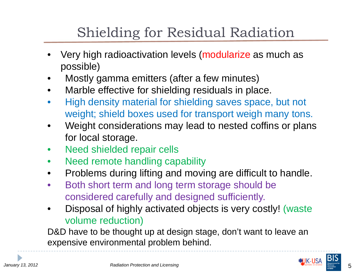# Shielding for Residual Radiation

- • Very high radioactivation levels (modularize as much as possible)
- •Mostly gamma emitters (after a few minutes)
- •Marble effective for shielding residuals in place.
- • High density material for shielding saves space, but not weight; shield boxes used for transport weigh many tons.
- • Weight considerations may lead to nested coffins or plans for local storage.
- •Need shielded repair cells
- •Need remote handling capability
- •Problems during lifting and moving are difficult to handle.
- $\bullet$  Both short term and long term storage should be considered carefully and designed sufficiently.
- • Disposal of highly activated objects is very costly! (waste volume reduction)

D&D have to be thought up at design stage, don't want to leave an expensive environmental problem behind.

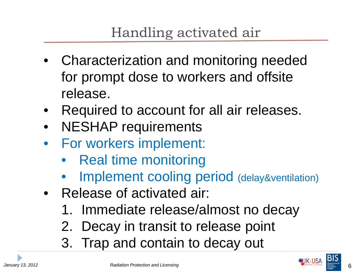# Handling activated air

- • Characterization and monitoring needed for prompt dose to workers and offsite release.
- •Required to account for all air releases.
- •NESHAP requirements
- • For workers implement:
	- Real time monitoring
	- •Implement cooling period (delay&ventilation)
- Release of activated air:
	- 1. Immediate release/almost no decay
	- 2. Decay in transit to release point
	- 3. Trap and contain to decay out

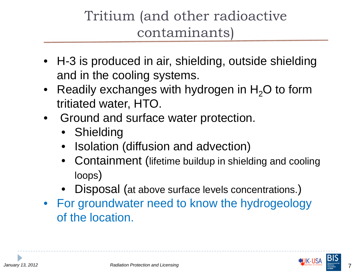# Tritium (and other radioactive contaminants)

- H-3 is produced in air, shielding, outside shielding and in the cooling systems.
- Readily exchanges with hydrogen in  $H_2O$  to form tritiated water, HTO.
- • Ground and surface water protection.
	- Shielding
	- •Isolation (diffusion and advection)
	- Containment (lifetime buildup in shielding and cooling loops )
	- Disposal (at above surface levels concentrations. )
- For groundwater need to know the hydrogeology of the location.



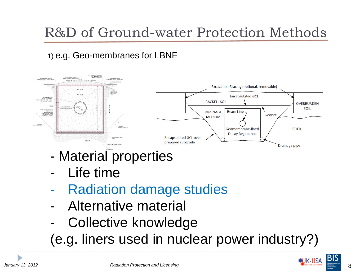# R&D of Ground-water Protection Methods

### 1) e.g. Geo-membranes for LBNE



- -Material properties
- -Life time
- -Radiation damage studies
- -Alternative material
- -Collective knowledge

(e.g. liners used in nuclear power industry?)

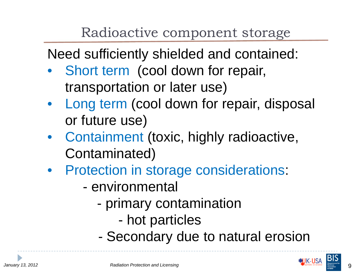# Radioactive component storage

Need sufficiently shielded and contained:

- $\bullet$  Short term (cool down for repair, transportation or later use)
- Long term (cool down for repair, disposal or future use)
- Containment (toxic, highly radioactive, Contaminated)
- Protection in storage considerations:
	- environmental
		- primary contamination
			- hot particles
		- -Secondary due to natural erosion



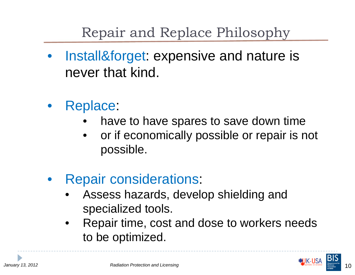# Repair and Replace Philosophy

- $\bullet$  Install&forget: expensive and nature is never that kind.
- $\bullet$  Replace:
	- •have to have spares to save down time
	- • or if economically possible or repair is not possible.
- $\bullet$  Repair considerations:
	- • Assess hazards, develop shielding and specialized tools.
	- • Repair time, cost and dose to workers needs to be optimized.



10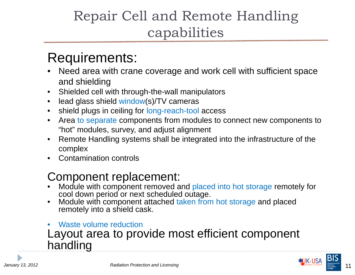# Repair Cell and Remote Handling capabilities

### Requirements:

- • Need area with crane coverage and work cell with sufficient space and shielding
- •Shielded cell with through-the-wall manipulators
- •lead glass shield window(s)/TV cameras
- •shield plugs in ceiling for long-reach-tool access
- $\bullet$  Area to separate components from modules to connect new components to "hot" modules, survey, and adjust alignment
- • Remote Handling systems shall be integrated into the infrastructure of the complex
- •Contamination controls

### Component replacement:

- • Module with component removed and placed into hot storage remotely for cool down period or next scheduled outage.
- • Module with component attached taken from hot storage and placed remotely into a shield cask.
- • Waste volume reductionLayout area to provide most efficient component handling

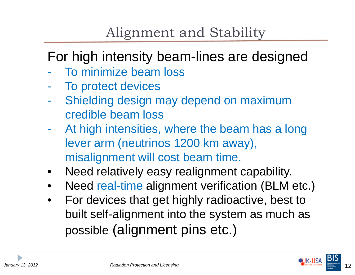# Alignment and Stability

# For high intensity beam-lines are designed

- $\mathcal{L}_{\mathcal{A}}$ To minimize beam loss
- To protect devices
- Shielding design may depend on maximum credible beam loss
- $\mathcal{L}_{\mathcal{A}}$  At high intensities, where the beam has a long lever arm (neutrinos 1200 km away), misalignment will cost beam time.
- •Need relatively easy realignment capability.
- •Need real-time alignment verification (BLM etc.)
- $\bullet$  For devices that get highly radioactive, best to built self-alignment into the system as much as possible (alignment pins etc.)

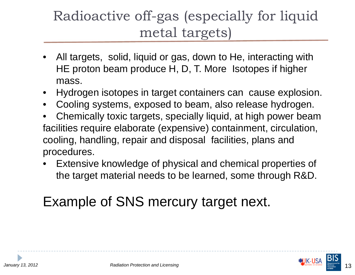# Radioactive off-gas (especially for liquid metal targets)

- • All targets, solid, liquid or gas, down to He, interacting with HE proton beam produce H, D, T. More Isotopes if higher mass.
- •Hydrogen isotopes in target containers can cause explosion.
- •Cooling systems, exposed to beam, also release hydrogen.
- • Chemically toxic targets, specially liquid, at high power beam facilities require elaborate (expensive) containment, circulation, cooling, handling, repair and disposal facilities, plans and procedures.
- • Extensive knowledge of physical and chemical properties of the target material needs to be learned, some through R&D.

# Example of SNS mercury target next.

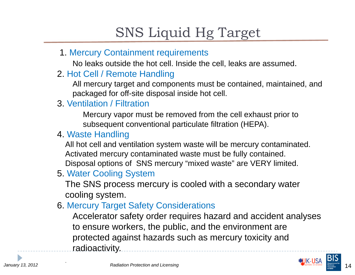# SNS Liquid Hg Target

1. Mercury Containment requirements

No leaks outside the hot cell. Inside the cell, leaks are assumed.

2. Hot Cell / Remote Handling

All mercury target and components must be contained, maintained, and packaged for off-site disposal inside hot cell.

### 3. Ventilation / Filtration

Mercury vapor must be removed from the cell exhaust prior to subsequent conventional particulate filtration (HEPA).

#### 4. Waste Handling

All hot cell and ventilation system waste will be mercury contaminated. Activated mercury contaminated waste must be fully contained. Disposal options of SNS mercury "mixed waste" are VERY limited.

### 5. Water Cooling System

The SNS process mercury is cooled with a secondary water cooling system.

### 6. Mercury Target Safety Considerations

Accelerator safety order requires hazard and accident analyses to ensure workers, the public, and the environment are protected against hazards such as mercury toxicity and radioactivity.

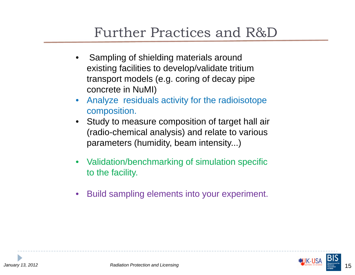## Further Practices and R&D

- • Sampling of shielding materials around existing facilities to develop/validate tritium transport models (e.g. coring of decay pipe concrete in NuMI)
- • Analyze residuals activity for the radioisotope composition.
- Study to measure composition of target hall air (radio-chemical analysis) and relate to various parameters (humidity, beam intensity...)
- • Validation/benchmarking of simulation specific to the facility.
- •Build sampling elements into your experiment.

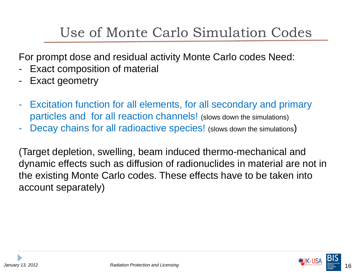# Use of Monte Carlo Simulation Codes

For prompt dose and residual activity Monte Carlo codes Need:

- -Exact composition of material
- -Exact geometry
- $\mathcal{L}_{\mathcal{A}}$  Excitation function for all elements, for all secondary and primary particles and for all reaction channels! (slows down the simulations)
- -Decay chains for all radioactive species! (slows down the simulations)

(Target depletion, swelling, beam induced thermo-mechanical and dynamic effects such as diffusion of radionuclides in material are not in the existing Monte Carlo codes. These effects have to be taken into account separately)